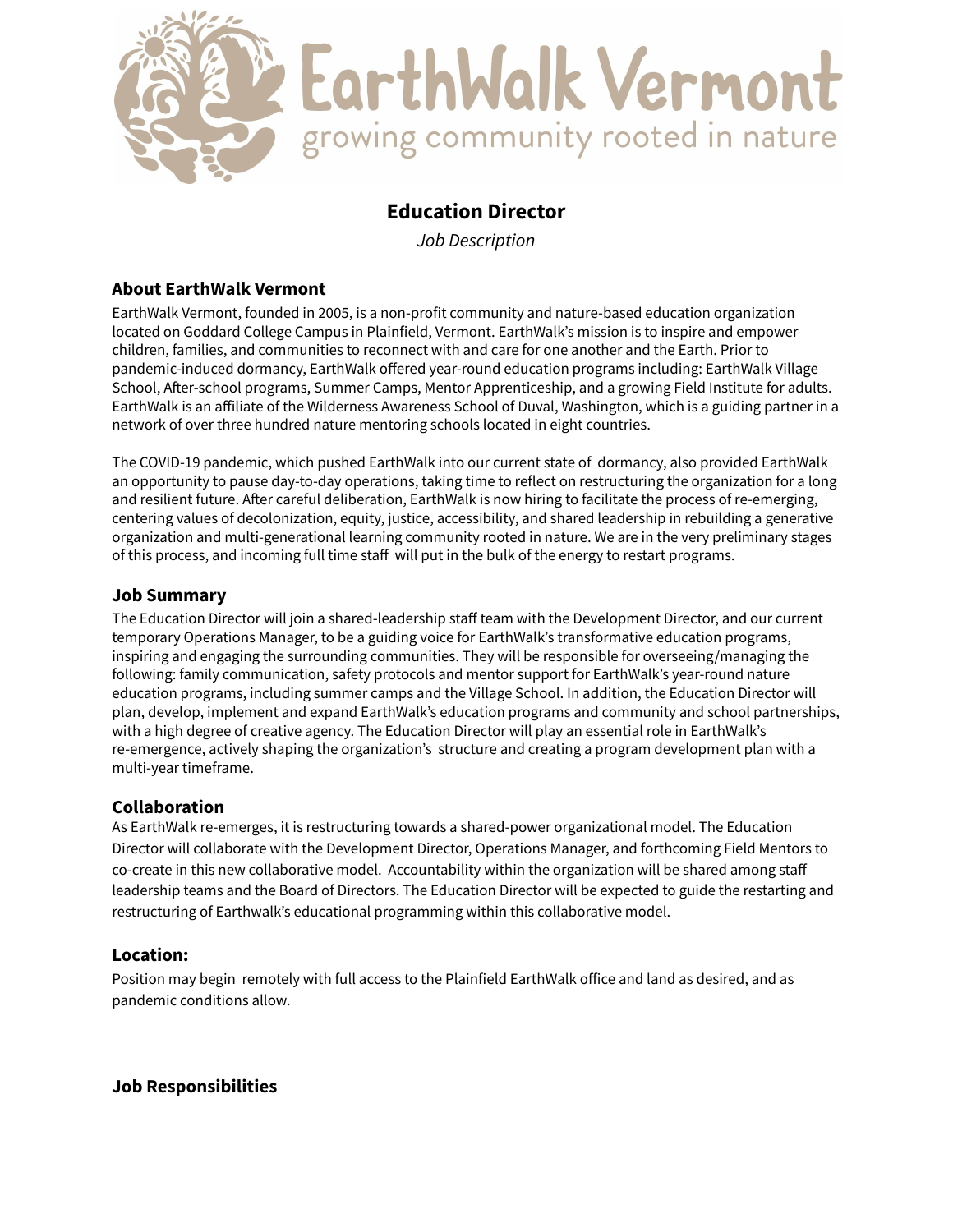

# **Education Director**

*Job Description*

# **About EarthWalk Vermont**

EarthWalk Vermont, founded in 2005, is a non-profit community and nature-based education organization located on Goddard College Campus in Plainfield, Vermont. EarthWalk's mission is to inspire and empower children, families, and communities to reconnect with and care for one another and the Earth. Prior to pandemic-induced dormancy, EarthWalk offered year-round education programs including: EarthWalk Village School, After-school programs, Summer Camps, Mentor Apprenticeship, and a growing Field Institute for adults. EarthWalk is an affiliate of the Wilderness Awareness School of Duval, Washington, which is a guiding partner in a network of over three hundred nature mentoring schools located in eight countries.

The COVID-19 pandemic, which pushed EarthWalk into our current state of dormancy, also provided EarthWalk an opportunity to pause day-to-day operations, taking time to reflect on restructuring the organization for a long and resilient future. After careful deliberation, EarthWalk is now hiring to facilitate the process of re-emerging, centering values of decolonization, equity, justice, accessibility, and shared leadership in rebuilding a generative organization and multi-generational learning community rooted in nature. We are in the very preliminary stages of this process, and incoming full time staff will put in the bulk of the energy to restart programs.

### **Job Summary**

The Education Director will join a shared-leadership staff team with the Development Director, and our current temporary Operations Manager, to be a guiding voice for EarthWalk's transformative education programs, inspiring and engaging the surrounding communities. They will be responsible for overseeing/managing the following: family communication, safety protocols and mentor support for EarthWalk's year-round nature education programs, including summer camps and the Village School. In addition, the Education Director will plan, develop, implement and expand EarthWalk's education programs and community and school partnerships, with a high degree of creative agency. The Education Director will play an essential role in EarthWalk's re-emergence, actively shaping the organization's structure and creating a program development plan with a multi-year timeframe.

# **Collaboration**

As EarthWalk re-emerges, it is restructuring towards a shared-power organizational model. The Education Director will collaborate with the Development Director, Operations Manager, and forthcoming Field Mentors to co-create in this new collaborative model. Accountability within the organization will be shared among staff leadership teams and the Board of Directors. The Education Director will be expected to guide the restarting and restructuring of Earthwalk's educational programming within this collaborative model.

# **Location:**

Position may begin remotely with full access to the Plainfield EarthWalk office and land as desired, and as pandemic conditions allow.

# **Job Responsibilities**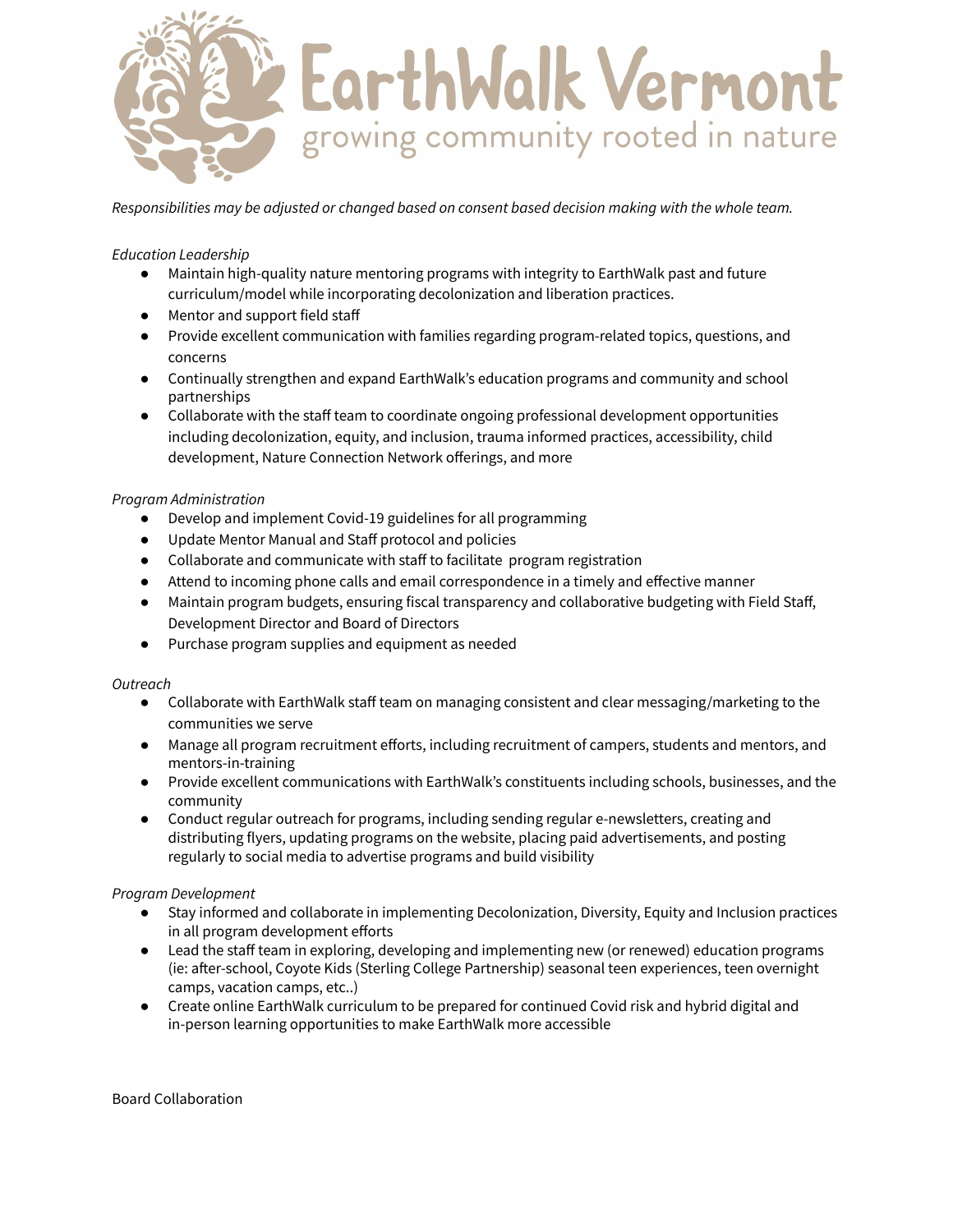

*Responsibilities may be adjusted or changed based on consent based decision making with the whole team.*

#### *Education Leadership*

- Maintain high-quality nature mentoring programs with integrity to EarthWalk past and future curriculum/model while incorporating decolonization and liberation practices.
- Mentor and support field staff
- Provide excellent communication with families regarding program-related topics, questions, and concerns
- Continually strengthen and expand EarthWalk's education programs and community and school partnerships
- Collaborate with the staff team to coordinate ongoing professional development opportunities including decolonization, equity, and inclusion, trauma informed practices, accessibility, child development, Nature Connection Network offerings, and more

#### *Program Administration*

- Develop and implement Covid-19 guidelines for all programming
- Update Mentor Manual and Staff protocol and policies
- Collaborate and communicate with staff to facilitate program registration
- Attend to incoming phone calls and email correspondence in a timely and effective manner
- Maintain program budgets, ensuring fiscal transparency and collaborative budgeting with Field Staff, Development Director and Board of Directors
- Purchase program supplies and equipment as needed

#### *Outreach*

- Collaborate with EarthWalk staff team on managing consistent and clear messaging/marketing to the communities we serve
- Manage all program recruitment efforts, including recruitment of campers, students and mentors, and mentors-in-training
- Provide excellent communications with EarthWalk's constituents including schools, businesses, and the community
- Conduct regular outreach for programs, including sending regular e-newsletters, creating and distributing flyers, updating programs on the website, placing paid advertisements, and posting regularly to social media to advertise programs and build visibility

#### *Program Development*

- Stay informed and collaborate in implementing Decolonization, Diversity, Equity and Inclusion practices in all program development efforts
- Lead the staff team in exploring, developing and implementing new (or renewed) education programs (ie: after-school, Coyote Kids (Sterling College Partnership) seasonal teen experiences, teen overnight camps, vacation camps, etc..)
- Create online EarthWalk curriculum to be prepared for continued Covid risk and hybrid digital and in-person learning opportunities to make EarthWalk more accessible

Board Collaboration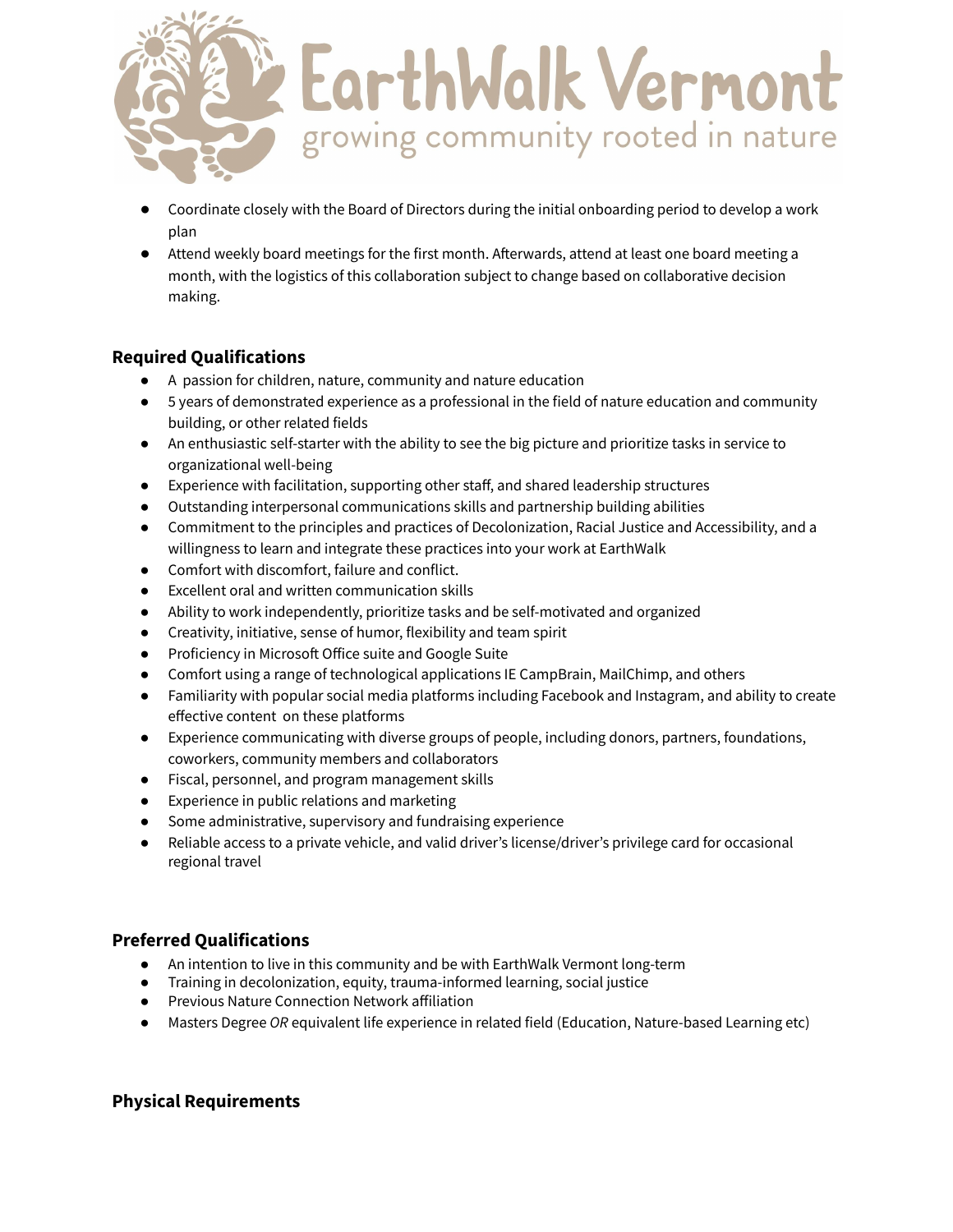

- Coordinate closely with the Board of Directors during the initial onboarding period to develop a work plan
- Attend weekly board meetings for the first month. Afterwards, attend at least one board meeting a month, with the logistics of this collaboration subject to change based on collaborative decision making.

# **Required Qualifications**

- A passion for children, nature, community and nature education
- 5 years of demonstrated experience as a professional in the field of nature education and community building, or other related fields
- An enthusiastic self-starter with the ability to see the big picture and prioritize tasks in service to organizational well-being
- Experience with facilitation, supporting other staff, and shared leadership structures
- Outstanding interpersonal communications skills and partnership building abilities
- Commitment to the principles and practices of Decolonization, Racial Justice and Accessibility, and a willingness to learn and integrate these practices into your work at EarthWalk
- Comfort with discomfort, failure and conflict.
- Excellent oral and written communication skills
- Ability to work independently, prioritize tasks and be self-motivated and organized
- Creativity, initiative, sense of humor, flexibility and team spirit
- Proficiency in Microsoft Office suite and Google Suite
- Comfort using a range of technological applications IE CampBrain, MailChimp, and others
- Familiarity with popular social media platforms including Facebook and Instagram, and ability to create effective content on these platforms
- Experience communicating with diverse groups of people, including donors, partners, foundations, coworkers, community members and collaborators
- Fiscal, personnel, and program management skills
- Experience in public relations and marketing
- Some administrative, supervisory and fundraising experience
- Reliable access to a private vehicle, and valid driver's license/driver's privilege card for occasional regional travel

# **Preferred Qualifications**

- An intention to live in this community and be with EarthWalk Vermont long-term
- Training in decolonization, equity, trauma-informed learning, social justice
- Previous Nature Connection Network affiliation
- Masters Degree *OR* equivalent life experience in related field (Education, Nature-based Learning etc)

# **Physical Requirements**